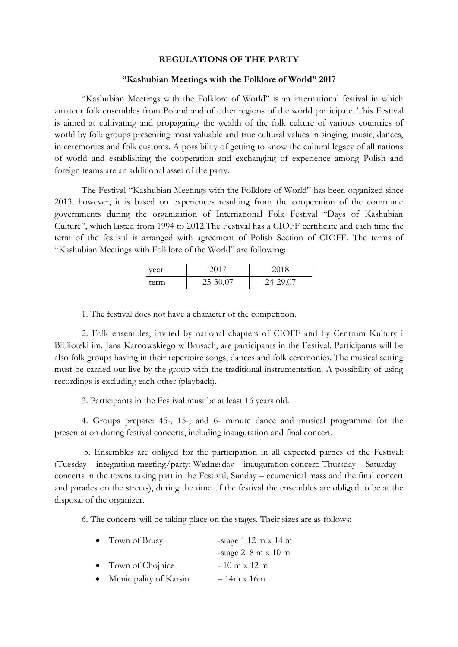## **REGULATIONS OF THE PARTY**

## **"Kashubian Meetings with the Folklore of World" 2017**

"Kashubian Meetings with the Folklore of World" is an international festival in which amateur folk ensembles from Poland and of other regions of the world participate. This Festival is aimed at cultivating and propagating the wealth of the folk culture of various countries of world by folk groups presenting most valuable and true cultural values in singing, music, dances, in ceremonies and folk customs. A possibility of getting to know the cultural legacy of all nations of world and establishing the cooperation and exchanging of experience among Polish and foreign teams are an additional asset of the party.

The Festival "Kashubian Meetings with the Folklore of World" has been organized since 2013, however, it is based on experiences resulting from the cooperation of the commune governments during the organization of International Folk Festival "Days of Kashubian Culture", which lasted from 1994 to 2012.The Festival has a CIOFF certificate and each time the term of the festival is arranged with agreement of Polish Section of CIOFF. The terms of "Kashubian Meetings with Folklore of the World" are following:

| vear |          | 2018     |
|------|----------|----------|
| term | 25-30.07 | 24-29.07 |

1. The festival does not have a character of the competition.

2. Folk ensembles, invited by national chapters of CIOFF and by Centrum Kultury i Biblioteki im. Jana Karnowskiego w Brusach, are participants in the Festival. Participants will be also folk groups having in their repertoire songs, dances and folk ceremonies. The musical setting must be carried out live by the group with the traditional instrumentation. A possibility of using recordings is excluding each other (playback).

3. Participants in the Festival must be at least 16 years old.

4. Groups prepare: 45-, 15-, and 6- minute dance and musical programme for the presentation during festival concerts, including inauguration and final concert.

5. Ensembles are obliged for the participation in all expected parties of the Festival: (Tuesday – integration meeting/party; Wednesday – inauguration concert; Thursday – Saturday – concerts in the towns taking part in the Festival; Sunday – ecumenical mass and the final concert and parades on the streets), during the time of the festival the ensembles are obliged to be at the disposal of the organizer.

6. The concerts will be taking place on the stages. Their sizes are as follows:

| $\bullet$ Town of Brusy  | -stage $1:12 \text{ m} \times 14 \text{ m}$ |  |
|--------------------------|---------------------------------------------|--|
|                          | -stage $2: 8 \text{ m} \times 10 \text{ m}$ |  |
| • Town of Chojnice       | $-10$ m x 12 m                              |  |
| • Municipality of Karsin | $-14m \times 16m$                           |  |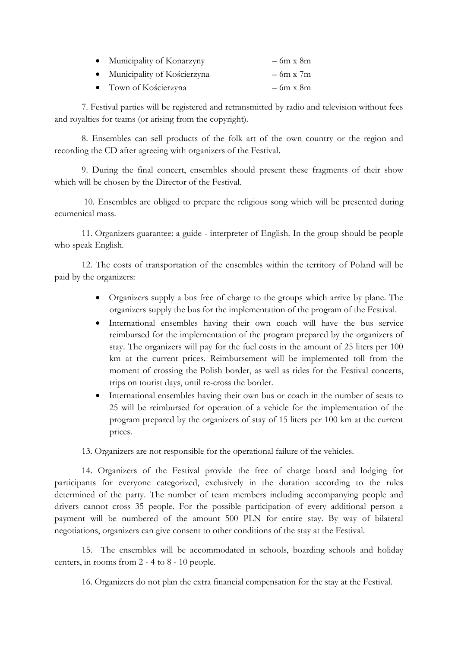| Municipality of Konarzyny   | $-6m \times 8m$ |
|-----------------------------|-----------------|
| Municipality of Kościerzyna | $-6m \times 7m$ |

Town of Kościerzyna – 6m x 8m

7. Festival parties will be registered and retransmitted by radio and television without fees and royalties for teams (or arising from the copyright).

8. Ensembles can sell products of the folk art of the own country or the region and recording the CD after agreeing with organizers of the Festival.

9. During the final concert, ensembles should present these fragments of their show which will be chosen by the Director of the Festival.

10. Ensembles are obliged to prepare the religious song which will be presented during ecumenical mass.

11. Organizers guarantee: a guide - interpreter of English. In the group should be people who speak English.

12. The costs of transportation of the ensembles within the territory of Poland will be paid by the organizers:

- Organizers supply a bus free of charge to the groups which arrive by plane. The organizers supply the bus for the implementation of the program of the Festival.
- International ensembles having their own coach will have the bus service reimbursed for the implementation of the program prepared by the organizers of stay. The organizers will pay for the fuel costs in the amount of 25 liters per 100 km at the current prices. Reimbursement will be implemented toll from the moment of crossing the Polish border, as well as rides for the Festival concerts, trips on tourist days, until re-cross the border.
- International ensembles having their own bus or coach in the number of seats to 25 will be reimbursed for operation of a vehicle for the implementation of the program prepared by the organizers of stay of 15 liters per 100 km at the current prices.

13. Organizers are not responsible for the operational failure of the vehicles.

14. Organizers of the Festival provide the free of charge board and lodging for participants for everyone categorized, exclusively in the duration according to the rules determined of the party. The number of team members including accompanying people and drivers cannot cross 35 people. For the possible participation of every additional person a payment will be numbered of the amount 500 PLN for entire stay. By way of bilateral negotiations, organizers can give consent to other conditions of the stay at the Festival.

15. The ensembles will be accommodated in schools, boarding schools and holiday centers, in rooms from 2 - 4 to 8 - 10 people.

16. Organizers do not plan the extra financial compensation for the stay at the Festival.